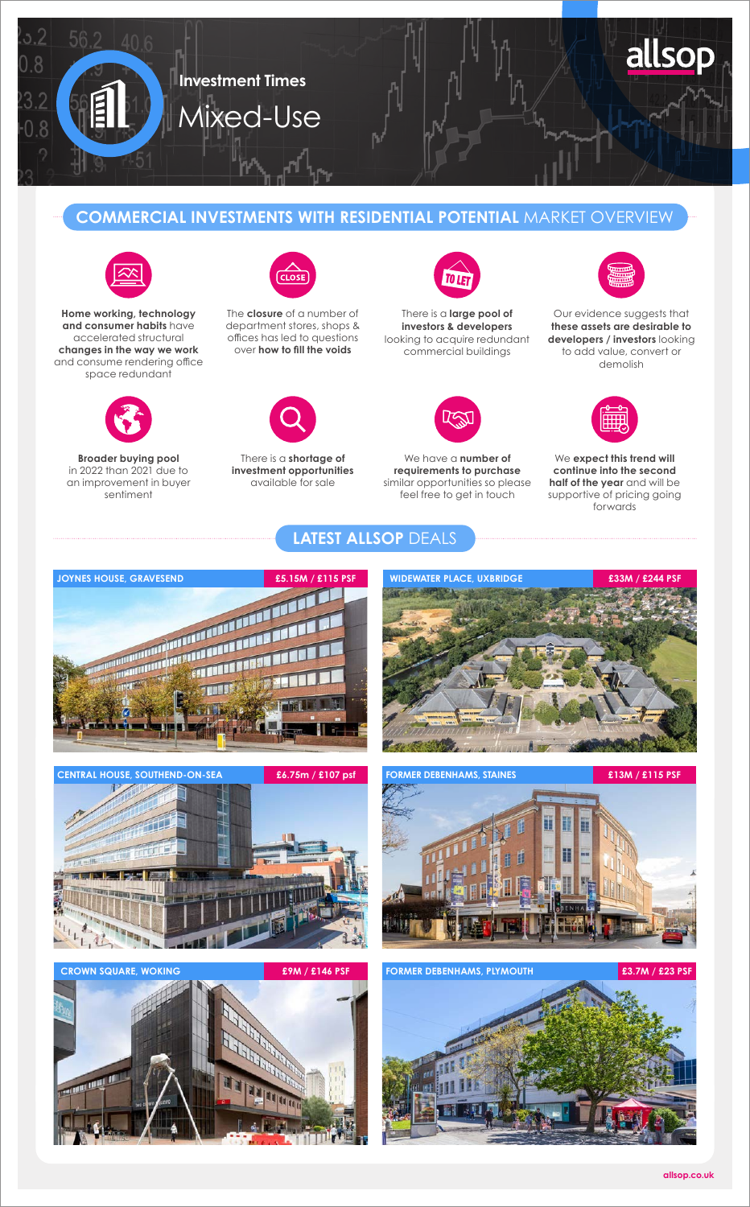

## **COMMERCIAL INVESTMENTS WITH RESIDENTIAL POTENTIAL** MARKET OVERVIEW

**LATEST ALLSOP** DEALS



**Home working, technology and consumer habits** have accelerated structural **changes in the way we work** and consume rendering office space redundant



**Broader buying pool**  in 2022 than 2021 due to an improvement in buyer sentiment



The **closure** of a number of department stores, shops & offices has led to questions over **how to fill the voids**



There is a **shortage of investment opportunities** available for sale



There is a **large pool of investors & developers** looking to acquire redundant commercial buildings



We have a **number of requirements to purchase** similar opportunities so please feel free to get in touch



Our evidence suggests that **these assets are desirable to developers / investors** looking to add value, convert or demolish



We **expect this trend will continue into the second half of the year** and will be supportive of pricing going forwards